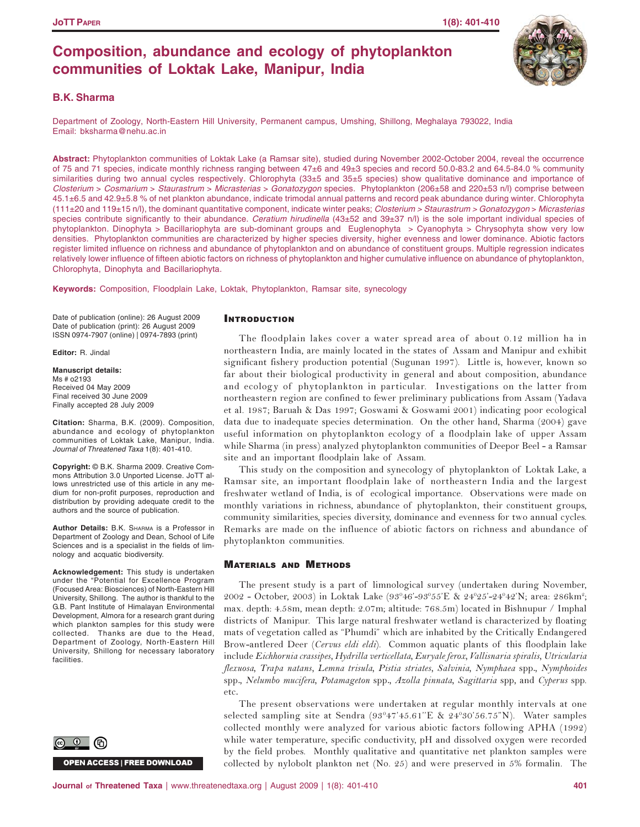## **Composition, abundance and ecology of phytoplankton communities of Loktak Lake, Manipur, India**

## **B.K. Sharma**

Department of Zoology, North-Eastern Hill University, Permanent campus, Umshing, Shillong, Meghalaya 793022, India Email: bksharma@nehu.ac.in

**Abstract:** Phytoplankton communities of Loktak Lake (a Ramsar site), studied during November 2002-October 2004, reveal the occurrence of 75 and 71 species, indicate monthly richness ranging between 47±6 and 49±3 species and record 50.0-83.2 and 64.5-84.0 % community similarities during two annual cycles respectively. Chlorophyta (33±5 and 35±5 species) show qualitative dominance and importance of *Closterium* > *Cosmarium* > *Staurastrum* > *Micrasterias* > *Gonatozygon* species. Phytoplankton (206±58 and 220±53 n/l) comprise between 45.1±6.5 and 42.9±5.8 % of net plankton abundance, indicate trimodal annual patterns and record peak abundance during winter. Chlorophyta (111±20 and 119±15 n/l), the dominant quantitative component, indicate winter peaks; *Closterium > Staurastrum > Gonatozygon* > *Micrasterias* species contribute significantly to their abundance. *Ceratium hirudinella* (43±52 and 39±37 n/l) is the sole important individual species of phytoplankton. Dinophyta > Bacillariophyta are sub-dominant groups and Euglenophyta > Cyanophyta > Chrysophyta show very low densities. Phytoplankton communities are characterized by higher species diversity, higher evenness and lower dominance. Abiotic factors register limited influence on richness and abundance of phytoplankton and on abundance of constituent groups. Multiple regression indicates relatively lower influence of fifteen abiotic factors on richness of phytoplankton and higher cumulative influence on abundance of phytoplankton, Chlorophyta, Dinophyta and Bacillariophyta.

**Keywords:** Composition, Floodplain Lake, Loktak, Phytoplankton, Ramsar site, synecology

Date of publication (online): 26 August 2009 Date of publication (print): 26 August 2009 ISSN 0974-7907 (online) | 0974-7893 (print)

**Editor:** R. Jindal

**Manuscript details:** Ms # o2193 Received 04 May 2009 Final received 30 June 2009 Finally accepted 28 July 2009

**Citation:** Sharma, B.K. (2009). Composition, abundance and ecology of phytoplankton communities of Loktak Lake, Manipur, India. *Journal of Threatened Taxa* 1(8): 401-410.

**Copyright:** © B.K. Sharma 2009. Creative Commons Attribution 3.0 Unported License. JoTT allows unrestricted use of this article in any medium for non-profit purposes, reproduction and distribution by providing adequate credit to the authors and the source of publication.

**Author Details:** B.K. SHARMA is a Professor in Department of Zoology and Dean, School of Life Sciences and is a specialist in the fields of limnology and acquatic biodiversity.

**Acknowledgement:** This study is undertaken under the "Potential for Excellence Program (Focused Area: Biosciences) of North-Eastern Hill University, Shillong. The author is thankful to the G.B. Pant Institute of Himalayan Environmental Development, Almora for a research grant during which plankton samples for this study were collected. Thanks are due to the Head, Department of Zoology, North-Eastern Hill University, Shillong for necessary laboratory facilities.



OPEN ACCESS I FREE DOWNLOAD

## INTRODUCTION

The floodplain lakes cover a water spread area of about 0.12 million ha in northeastern India, are mainly located in the states of Assam and Manipur and exhibit significant fishery production potential (Sugunan 1997). Little is, however, known so far about their biological productivity in general and about composition, abundance and ecology of phytoplankton in particular. Investigations on the latter from northeastern region are confined to fewer preliminary publications from Assam (Yadava et al. 1987; Baruah & Das 1997; Goswami & Goswami 2001) indicating poor ecological data due to inadequate species determination. On the other hand, Sharma (2004) gave useful information on phytoplankton ecology of a floodplain lake of upper Assam while Sharma (in press) analyzed phytoplankton communities of Deepor Beel - a Ramsar site and an important floodplain lake of Assam.

This study on the composition and synecology of phytoplankton of Loktak Lake, a Ramsar site, an important floodplain lake of northeastern India and the largest freshwater wetland of India, is of ecological importance. Observations were made on monthly variations in richness, abundance of phytoplankton, their constituent groups, community similarities, species diversity, dominance and evenness for two annual cycles. Remarks are made on the influence of abiotic factors on richness and abundance of phytoplankton communities.

## **MATERIALS AND METHODS**

The present study is a part of limnological survey (undertaken during November, 2002 - October, 2003) in Loktak Lake (93°46'-93°55'E & 24°25'-24°42'N; area: 286km²; max. depth: 4.58m, mean depth: 2.07m; altitude: 768.5m) located in Bishnupur / Imphal districts of Manipur. This large natural freshwater wetland is characterized by floating mats of vegetation called as "Phumdi" which are inhabited by the Critically Endangered Brow-antlered Deer *(Cervus eldi eldi)*. Common aquatic plants of this floodplain lake include *Eichhornia crassipes, Hydrilla verticellata, Euryale ferox, Vallisnaria spiralis, Utricularia* flexuosa, Trapa natans, Lemna trisula, Pistia striates, Salvinia, Nymphaea spp., Nymphoides spp., Nelumbo mucifera, Potamageton spp., Azolla pinnata, Sagittaria spp, and Cyperus spp. etc.

The present observations were undertaken at regular monthly intervals at one selected sampling site at Sendra (93°47'45.61"E & 24°30'56.75"N). Water samples collected monthly were analyzed for various abiotic factors following APHA (1992) while water temperature, specific conductivity, pH and dissolved oxygen were recorded by the field probes. Monthly qualitative and quantitative net plankton samples were collected by nylobolt plankton net (No. 25) and were preserved in 5% formalin. The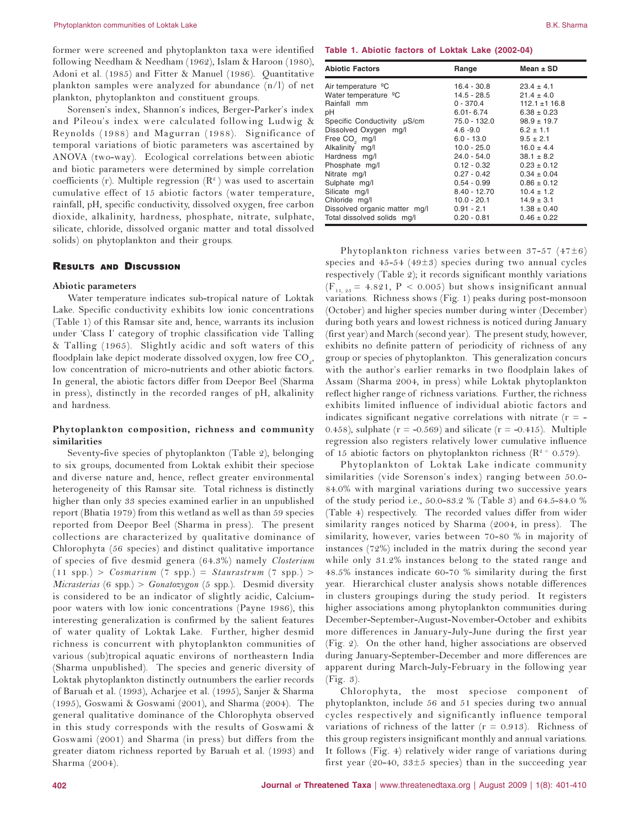former were screened and phytoplankton taxa were identified following Needham & Needham (1962), Islam & Haroon (1980), Adoni et al. (1985) and Fitter & Manuel (1986). Quantitative plankton samples were analyzed for abundance (n/l) of net plankton, phytoplankton and constituent groups.

Sorensen's index, Shannon's indices, Berger-Parker's index and Pileou's index were calculated following Ludwig & Reynolds (1988) and Magurran (1988). Significance of temporal variations of biotic parameters was ascertained by ANOVA (two-way). Ecological correlations between abiotic and biotic parameters were determined by simple correlation coefficients (r). Multiple regression  $(R^2)$  was used to ascertain cumulative effect of 15 abiotic factors (water temperature, rainfall, pH, specific conductivity, dissolved oxygen, free carbon dioxide, alkalinity, hardness, phosphate, nitrate, sulphate, silicate, chloride, dissolved organic matter and total dissolved solids) on phytoplankton and their groups.

### **RESULTS AND DISCUSSION**

### Abiotic parameters

Water temperature indicates sub-tropical nature of Loktak Lake. Specific conductivity exhibits low ionic concentrations (Table 1) of this Ramsar site and, hence, warrants its inclusion under 'Class I' category of trophic classification vide Talling & Talling (1965). Slightly acidic and soft waters of this floodplain lake depict moderate dissolved oxygen, low free CO<sub>2</sub>, low concentration of micro-nutrients and other abiotic factors. In general, the abiotic factors differ from Deepor Beel (Sharma in press), distinctly in the recorded ranges of pH, alkalinity and hardness.

### Phytoplankton composition, richness and community  $\boldsymbol{\mathrm{similarity}}$

Seventy-five species of phytoplankton (Table 2), belonging to six groups, documented from Loktak exhibit their speciose and diverse nature and, hence, reflect greater environmental heterogeneity of this Ramsar site. Total richness is distinctly higher than only 33 species examined earlier in an unpublished report (Bhatia 1979) from this wetland as well as than 59 species reported from Deepor Beel (Sharma in press). The present collections are characterized by qualitative dominance of Chlorophyta (56 species) and distinct qualitative importance of species of five desmid genera (64.3%) namely Closterium  $(11$  spp.) > *Cosmarium*  $(7$  spp.) = *Staurastrum*  $(7$  spp.) > Micrasterias (6 spp.) > Gonatozygon (5 spp.). Desmid diversity is considered to be an indicator of slightly acidic, Calciumpoor waters with low ionic concentrations (Payne 1986), this interesting generalization is confirmed by the salient features of water quality of Loktak Lake. Further, higher desmid richness is concurrent with phytoplankton communities of various (sub)tropical aquatic environs of northeastern India (Sharma unpublished). The species and generic diversity of Loktak phytoplankton distinctly outnumbers the earlier records of Baruah et al. (1993), Acharjee et al. (1995), Sanjer & Sharma (1995), Goswami & Goswami (2001), and Sharma (2004). The general qualitative dominance of the Chlorophyta observed in this study corresponds with the results of Goswami & Goswami (2001) and Sharma (in press) but differs from the greater diatom richness reported by Baruah et al. (1993) and Sharma (2004).

|  |  | Table 1. Abiotic factors of Loktak Lake (2002-04 |  |  |  |
|--|--|--------------------------------------------------|--|--|--|
|--|--|--------------------------------------------------|--|--|--|

| <b>Abiotic Factors</b>           | Range          | Mean $\pm$ SD     |
|----------------------------------|----------------|-------------------|
| Air temperature <sup>o</sup> C   | 16.4 - 30.8    | $23.4 \pm 4.1$    |
| Water temperature <sup>o</sup> C | 14.5 - 28.5    | $21.4 \pm 4.0$    |
| Rainfall mm                      | $0 - 370.4$    | $112.1 \pm 116.8$ |
| рH                               | $6.01 - 6.74$  | $6.38 \pm 0.23$   |
| Specific Conductivity µS/cm      | 75.0 - 132.0   | $98.9 \pm 19.7$   |
| Dissolved Oxygen mg/l            | $4.6 - 9.0$    | $6.2 \pm 1.1$     |
| Free CO <sub>2</sub> mg/l        | $6.0 - 13.0$   | $9.5 \pm 2.1$     |
| Alkalinity mg/l                  | $10.0 - 25.0$  | $16.0 \pm 4.4$    |
| Hardness mg/l                    | 24.0 - 54.0    | $38.1 \pm 8.2$    |
| Phosphate mg/l                   | $0.12 - 0.32$  | $0.23 \pm 0.12$   |
| Nitrate mg/l                     | $0.27 - 0.42$  | $0.34 \pm 0.04$   |
| Sulphate mg/l                    | $0.54 - 0.99$  | $0.86 \pm 0.12$   |
| Silicate mg/l                    | $8.40 - 12.70$ | $10.4 \pm 1.2$    |
| Chloride mg/l                    | 10.0 - 20.1    | $14.9 \pm 3.1$    |
| Dissolved organic matter mg/l    | $0.91 - 2.1$   | $1.38 \pm 0.40$   |
| Total dissolved solids mg/l      | $0.20 - 0.81$  | $0.46 \pm 0.22$   |

Phytoplankton richness varies between 37-57 (47 $\pm$ 6) species and  $45-54$  ( $49\pm3$ ) species during two annual cycles respectively (Table 2); it records significant monthly variations  $(F_{11.23} = 4.821, P < 0.005)$  but shows insignificant annual variations. Richness shows (Fig. 1) peaks during post-monsoon (October) and higher species number during winter (December) during both years and lowest richness is noticed during January (first year) and March (second year). The present study, however, exhibits no definite pattern of periodicity of richness of any group or species of phytoplankton. This generalization concurs with the author's earlier remarks in two floodplain lakes of Assam (Sharma 2004, in press) while Loktak phytoplankton reflect higher range of richness variations. Further, the richness exhibits limited influence of individual abiotic factors and indicates significant negative correlations with nitrate  $(r = -$ 0.458), sulphate ( $r = -0.569$ ) and silicate ( $r = -0.415$ ). Multiple regression also registers relatively lower cumulative influence of 15 abiotic factors on phytoplankton richness ( $\mathbb{R}^2$ <sup>=</sup> 0.579).

Phytoplankton of Loktak Lake indicate community similarities (vide Sorenson's index) ranging between 50.0-84.0% with marginal variations during two successive years of the study period i.e., 50.0-83.2 % (Table 3) and 64.5-84.0 % (Table 4) respectively. The recorded values differ from wider similarity ranges noticed by Sharma (2004, in press). The similarity, however, varies between 70-80 % in majority of instances (72%) included in the matrix during the second year while only 31.2% instances belong to the stated range and 48.5% instances indicate 60-70 % similarity during the first year. Hierarchical cluster analysis shows notable differences in clusters groupings during the study period. It registers higher associations among phytoplankton communities during December-September-August-November-October and exhibits more differences in January-July-June during the first year (Fig. 2). On the other hand, higher associations are observed during January-September-December and more differences are apparent during March-July-February in the following year  $(Fig. 3)$ .

Chlorophyta, the most speciose component of phytoplankton, include 56 and 51 species during two annual cycles respectively and significantly influence temporal variations of richness of the latter  $(r = 0.913)$ . Richness of this group registers insignificant monthly and annual variations. It follows (Fig. 4) relatively wider range of variations during first year (20-40,  $33\pm5$  species) than in the succeeding year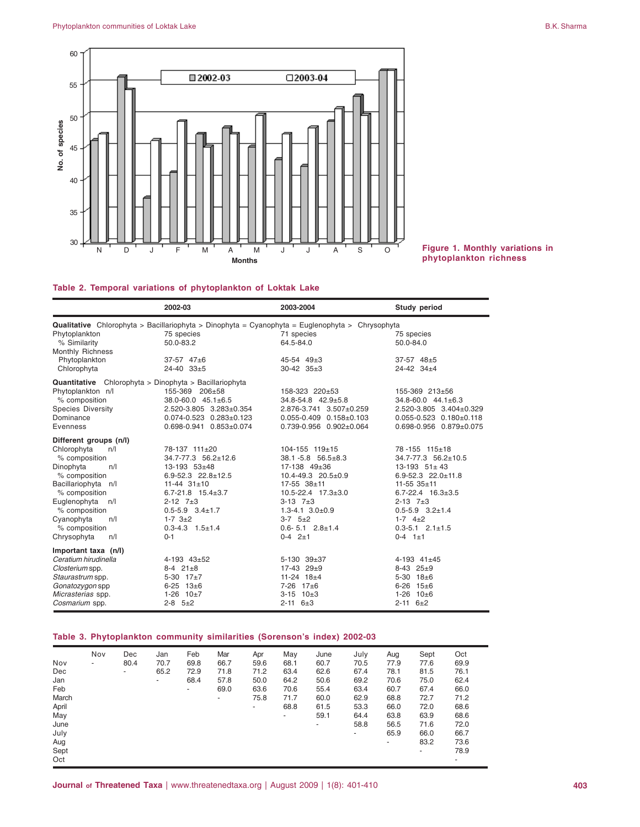

# **Figure 1. Monthly variations in**

## **Table 2. Temporal variations of phytoplankton of Loktak Lake**

|                          |     | 2002-03                                                                                                | 2003-2004                         | Study period                      |
|--------------------------|-----|--------------------------------------------------------------------------------------------------------|-----------------------------------|-----------------------------------|
|                          |     | <b>Qualitative</b> Chlorophyta > Bacillariophyta > Dinophyta = Cyanophyta = Euglenophyta > Chrysophyta |                                   |                                   |
| Phytoplankton            |     | 75 species                                                                                             | 71 species                        | 75 species                        |
| % Similarity             |     | 50.0-83.2                                                                                              | 64.5-84.0                         | 50.0-84.0                         |
| Monthly Richness         |     |                                                                                                        |                                   |                                   |
| Phytoplankton            |     | 37-57 47±6                                                                                             | 45-54 49±3                        | $37-57$ $48\pm5$                  |
| Chlorophyta              |     | 24-40 33±5                                                                                             | $30-42$ $35\pm3$                  | 24-42 34±4                        |
|                          |     | Quantitative Chlorophyta > Dinophyta > Bacillariophyta                                                 |                                   |                                   |
| Phytoplankton n/l        |     | 155-369 206±58                                                                                         | 158-323 220±53                    | 155-369 213±56                    |
| % composition            |     | 38.0-60.0 45.1±6.5                                                                                     | 34.8-54.8 42.9±5.8                | 34.8-60.0 44.1±6.3                |
| <b>Species Diversity</b> |     | 2.520-3.805 3.283±0.354                                                                                | 2.876-3.741 3.507±0.259           | 2.520-3.805 3.404±0.329           |
| Dominance                |     | $0.074 - 0.523$ $0.283 \pm 0.123$                                                                      | $0.055 - 0.409$ $0.158 \pm 0.103$ | $0.055 - 0.523$ $0.180 \pm 0.118$ |
| Evenness                 |     | 0.698-0.941 0.853±0.074                                                                                | 0.739-0.956 0.902±0.064           | 0.698-0.956 0.879±0.075           |
| Different groups (n/l)   |     |                                                                                                        |                                   |                                   |
| Chlorophyta              | n/l | 78-137 111±20                                                                                          | $104 - 155$ $119 \pm 15$          | 78-155 115±18                     |
| % composition            |     | 34.7-77.3 56.2±12.6                                                                                    | $38.1 - 5.8$ 56.5 $\pm$ 8.3       | 34.7-77.3 56.2±10.5               |
| Dinophyta                | n/l | 13-193 53±48                                                                                           | 17-138 49±36                      | $13-193$ $51 \pm 43$              |
| % composition            |     | $6.9 - 52.3$ $22.8 \pm 12.5$                                                                           | $10.4 - 49.3$ $20.5 \pm 0.9$      | $6.9 - 52.3$ $22.0 \pm 11.8$      |
| Bacillariophyta n/l      |     | $11-44$ $31\pm10$                                                                                      | $17-55$ $38\pm11$                 | $11 - 55$ 35 $\pm$ 11             |
| % composition            |     | $6.7 - 21.8$ 15.4 $\pm$ 3.7                                                                            | 10.5-22.4 17.3±3.0                | $6.7 - 22.4$ $16.3 \pm 3.5$       |
| Euglenophyta             | n/l | $2 - 12$ 7 $\pm 3$                                                                                     | $3-13$ 7 $\pm 3$                  | $2 - 13$ 7 $\pm 3$                |
| % composition            |     | $0.5 - 5.9$ $3.4 \pm 1.7$                                                                              | $1.3 - 4.1$ $3.0 \pm 0.9$         | $0.5 - 5.9$ 3.2 $\pm$ 1.4         |
| Cvanophyta               | n/l | $1 - 7$ $3 \pm 2$                                                                                      | $3-7$ $5+2$                       | $1 - 7$ $4 + 2$                   |
| % composition            |     | $0.3 - 4.3$ 1.5 $\pm$ 1.4                                                                              | $0.6 - 5.1$ $2.8 + 1.4$           | $0.3 - 5.1$ $2.1 \pm 1.5$         |
| Chrysophyta              | n/l | $0 - 1$                                                                                                | $0-4$ $2+1$                       | $0-4$ 1±1                         |
| Important taxa (n/l)     |     |                                                                                                        |                                   |                                   |
| Ceratium hirudinella     |     | $4-193$ $43+52$                                                                                        | 5-130 39±37                       | $4-193$ $41\pm45$                 |
| Closterium spp.          |     | $8-4$ $21\pm8$                                                                                         | 17-43 29±9                        | $8-43$ $25 \pm 9$                 |
| Staurastrum spp.         |     | 5-30 $17\pm7$                                                                                          | $11-24$ $18+4$                    | $5-30$ 18 $\pm 6$                 |
| Gonatozygon spp          |     | $6 - 25$ 13 $\pm 6$                                                                                    | 7-26 17±6                         | $6-26$ 15 $\pm 6$                 |
| Micrasterias spp.        |     | $1-26$ $10\pm7$                                                                                        | $3-15$ 10 $\pm 3$                 | $1-26$ 10 $\pm$ 6                 |
| Cosmarium spp.           |     | $2 - 8$ $5 \pm 2$                                                                                      | $2 - 11$ $6 \pm 3$                | $2 - 11$ $6 \pm 2$                |

## **Table 3. Phytoplankton community similarities (Sorenson's index) 2002-03**

|       | Nov | Dec  | Jan  | Feb    | Mar  | Apr  | May  | June | July | Aug  | Sept | Oct  |
|-------|-----|------|------|--------|------|------|------|------|------|------|------|------|
| Nov   | ٠   | 80.4 | 70.7 | 69.8   | 66.7 | 59.6 | 68.1 | 60.7 | 70.5 | 77.9 | 77.6 | 69.9 |
| Dec   |     | ۰.   | 65.2 | 72.9   | 71.8 | 71.2 | 63.4 | 62.6 | 67.4 | 78.1 | 81.5 | 76.1 |
| Jan   |     |      |      | 68.4   | 57.8 | 50.0 | 64.2 | 50.6 | 69.2 | 70.6 | 75.0 | 62.4 |
| Feb   |     |      |      | $\sim$ | 69.0 | 63.6 | 70.6 | 55.4 | 63.4 | 60.7 | 67.4 | 66.0 |
| March |     |      |      |        | ۰    | 75.8 | 71.7 | 60.0 | 62.9 | 68.8 | 72.7 | 71.2 |
| April |     |      |      |        |      | ٠    | 68.8 | 61.5 | 53.3 | 66.0 | 72.0 | 68.6 |
| May   |     |      |      |        |      |      | ٠    | 59.1 | 64.4 | 63.8 | 63.9 | 68.6 |
| June  |     |      |      |        |      |      |      | ۰    | 58.8 | 56.5 | 71.6 | 72.0 |
| July  |     |      |      |        |      |      |      |      |      | 65.9 | 66.0 | 66.7 |
| Aug   |     |      |      |        |      |      |      |      |      |      | 83.2 | 73.6 |
| Sept  |     |      |      |        |      |      |      |      |      |      | ۰    | 78.9 |
| Oct   |     |      |      |        |      |      |      |      |      |      |      |      |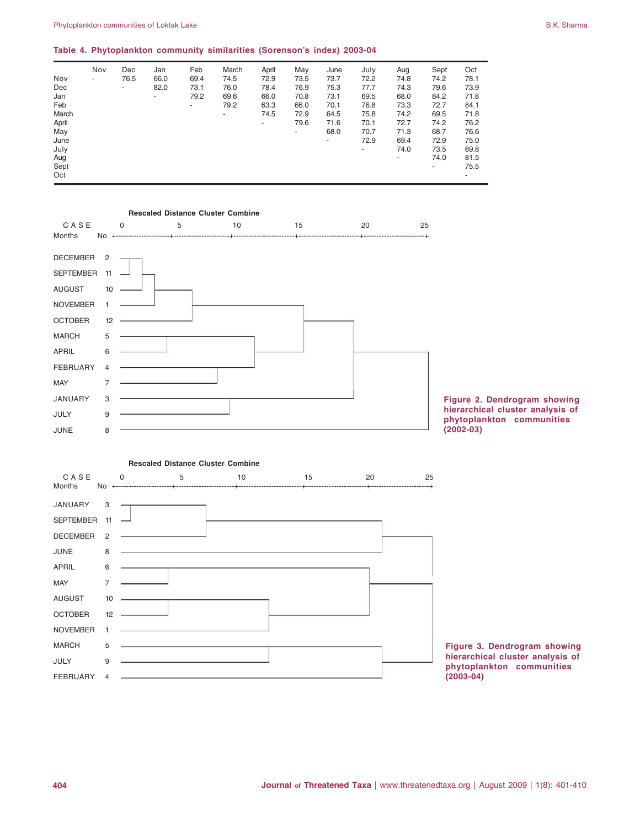|       | Nov                      | Dec  | Jan  | Feb  | March                    | April | May  | June | July | Aug  | Sept | Oct  |
|-------|--------------------------|------|------|------|--------------------------|-------|------|------|------|------|------|------|
| Nov   | $\overline{\phantom{a}}$ | 76.5 | 66.0 | 69.4 | 74.5                     | 72.9  | 73.5 | 73.7 | 72.2 | 74.8 | 74.2 | 78.1 |
| Dec   |                          | ۰.   | 82.0 | 73.1 | 76.0                     | 78.4  | 76.9 | 75.3 | 77.7 | 74.3 | 79.6 | 73.9 |
| Jan   |                          |      | ۰.   | 79.2 | 69.6                     | 66.0  | 70.8 | 73.1 | 69.5 | 68.0 | 84.2 | 71.8 |
| Feb   |                          |      |      | ۰.   | 79.2                     | 63.3  | 66.0 | 70.1 | 76.8 | 73.3 | 72.7 | 84.1 |
| March |                          |      |      |      | $\overline{\phantom{a}}$ | 74.5  | 72.9 | 64.5 | 75.8 | 74.2 | 69.5 | 71.8 |
| April |                          |      |      |      |                          | ٠     | 79.6 | 71.6 | 70.1 | 72.7 | 74.2 | 76.2 |
| May   |                          |      |      |      |                          |       | ٠    | 68.0 | 70.7 | 71.3 | 68.7 | 76.6 |
| June  |                          |      |      |      |                          |       |      | ۰.   | 72.9 | 69.4 | 72.9 | 75.0 |
| July  |                          |      |      |      |                          |       |      |      | ۰    | 74.0 | 73.5 | 69.8 |
| Aug   |                          |      |      |      |                          |       |      |      |      |      | 74.0 | 81.5 |
| Sept  |                          |      |      |      |                          |       |      |      |      |      | ۰    | 75.5 |
| Oct   |                          |      |      |      |                          |       |      |      |      |      |      |      |

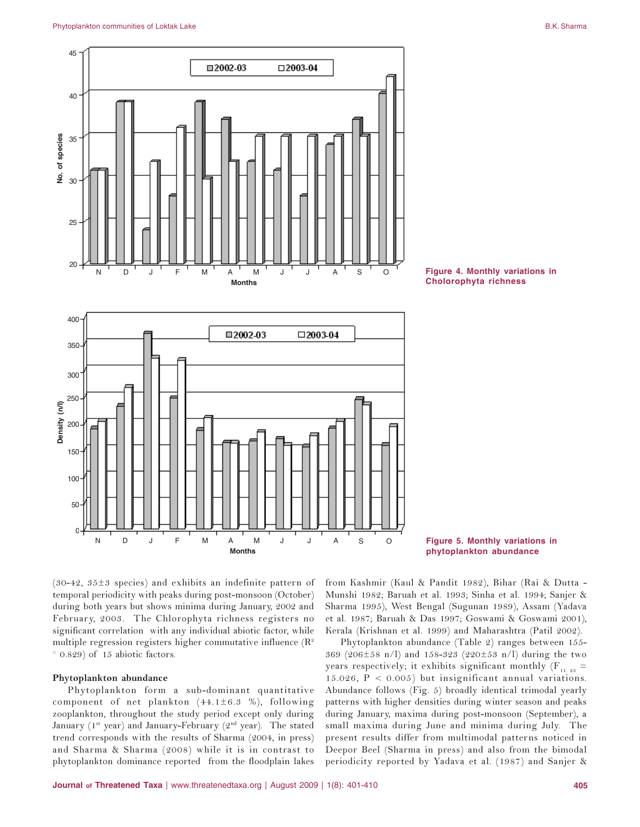



**Figure 5. Monthly variations in**

(30-42, 35 $\pm$ 3 species) and exhibits an indefinite pattern of temporal periodicity with peaks during post-monsoon (October) during both years but shows minima during January, 2002 and February, 2003. The Chlorophyta richness registers no significant correlation with any individual abiotic factor, while multiple regression registers higher commutative influence ( $\mathrm{R}^{\scriptscriptstyle 2}$  $= 0.829$ ) of 15 abiotic factors.

### Phytoplankton abundance

Phytoplankton form a sub-dominant quantitative component of net plankton  $(44.1 \pm 6.3~\%)$ , following zooplankton, throughout the study period except only during January (1st year) and January-February (2nd year). The stated trend corresponds with the results of Sharma (2004, in press) and Sharma & Sharma (2008) while it is in contrast to phytoplankton dominance reported from the floodplain lakes

from Kashmir (Kaul & Pandit 1982), Bihar (Rai & Dutta -Munshi 1982; Baruah et al. 1993; Sinha et al. 1994; Sanjer & Sharma 1995), West Bengal (Sugunan 1989), Assam (Yadava et al. 1987; Baruah & Das 1997; Goswami & Goswami 2001), Kerala (Krishnan et al. 1999) and Maharashtra (Patil 2002).

Phytoplankton abundance (Table 2) ranges between 155-369 (206±58 n/l) and 158-323 (220±53 n/l) during the two years respectively; it exhibits significant monthly (F<sub>11.23</sub>  $=$  $15.026$ ,  $P < 0.005$ ) but insignificant annual variations. Abundance follows (Fig. 5) broadly identical trimodal yearly patterns with higher densities during winter season and peaks during January, maxima during post-monsoon (September), a small maxima during June and minima during July. The present results differ from multimodal patterns noticed in Deepor Beel (Sharma in press) and also from the bimodal periodicity reported by Yadava et al. (1987) and Sanjer &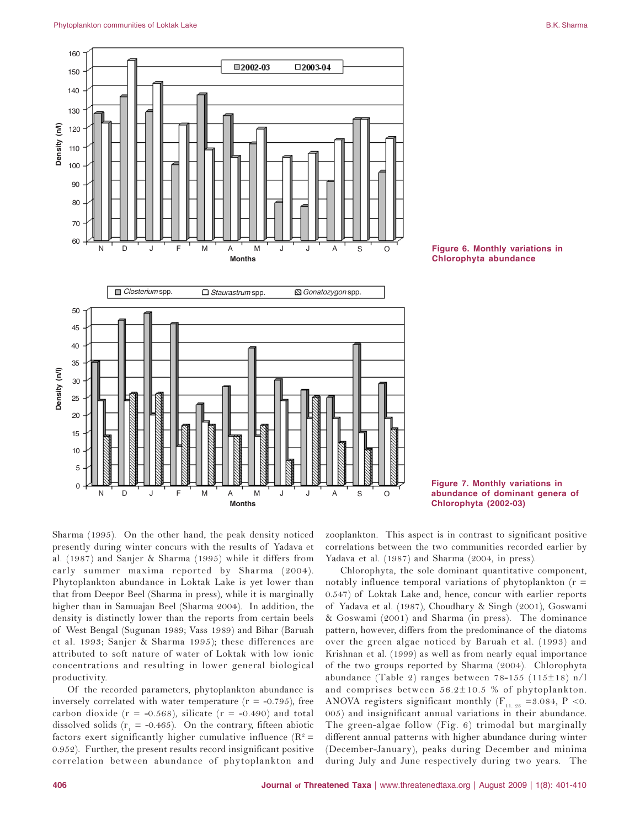



**Figure 7. Monthly variations in abundance of dominant genera of**

Sharma (1995). On the other hand, the peak density noticed presently during winter concurs with the results of Yadava et al.  $(1987)$  and Sanjer & Sharma  $(1995)$  while it differs from early summer maxima reported by Sharma (2004). Phytoplankton abundance in Loktak Lake is yet lower than that from Deepor Beel (Sharma in press), while it is marginally higher than in Samuajan Beel (Sharma 2004). In addition, the density is distinctly lower than the reports from certain beels of West Bengal (Sugunan 1989; Vass 1989) and Bihar (Baruah et al. 1993; Sanjer & Sharma 1995); these differences are attributed to soft nature of water of Loktak with low ionic concentrations and resulting in lower general biological productivity.

Of the recorded parameters, phytoplankton abundance is inversely correlated with water temperature ( $r = -0.795$ ), free carbon dioxide ( $r = -0.568$ ), silicate ( $r = -0.490$ ) and total dissolved solids ( $r_1 = -0.465$ ). On the contrary, fifteen abiotic factors exert significantly higher cumulative influence ( $\mathbb{R}^2$  = 0.952). Further, the present results record insignificant positive correlation between abundance of phytoplankton and

zooplankton. This aspect is in contrast to significant positive correlations between the two communities recorded earlier by Yadava et al. (1987) and Sharma (2004, in press).

Chlorophyta, the sole dominant quantitative component, notably influence temporal variations of phytoplankton (r  $=$ 0.547) of Loktak Lake and, hence, concur with earlier reports of Yadava et al. (1987), Choudhary & Singh (2001), Goswami & Goswami (2001) and Sharma (in press). The dominance pattern, however, differs from the predominance of the diatoms over the green algae noticed by Baruah et al. (1993) and Krishnan et al. (1999) as well as from nearly equal importance of the two groups reported by Sharma (2004). Chlorophyta abundance (Table 2) ranges between 78-155 (115±18) n/l and comprises between  $56.2 \pm 10.5$  % of phytoplankton. ANOVA registers significant monthly ( $F_{11.23}$  =3.084, P < 0. 005) and insignificant annual variations in their abundance. The green-algae follow (Fig. 6) trimodal but marginally different annual patterns with higher abundance during winter (December-January), peaks during December and minima during July and June respectively during two years. The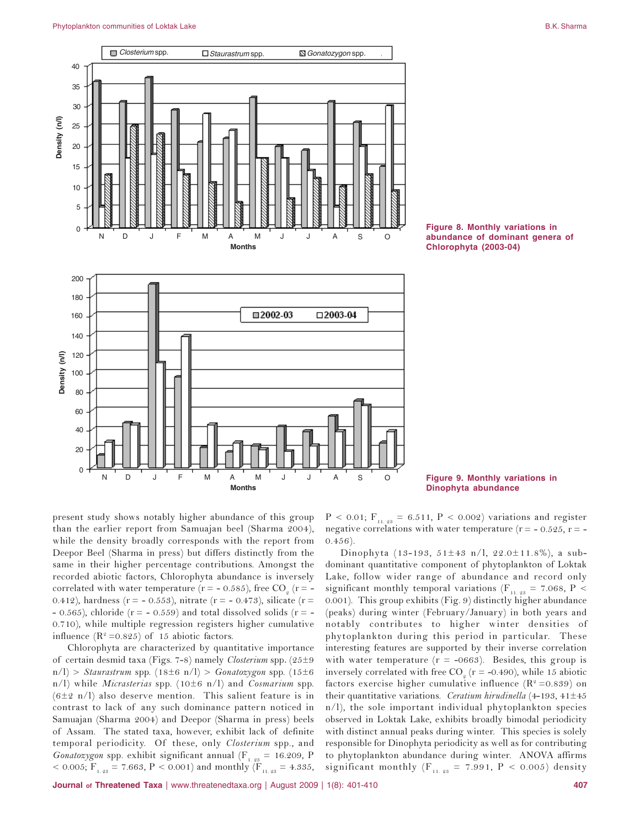#### Phytoplankton communities of Loktak Lake B.K. Sharma B.K. Sharma B.K. Sharma B.K. Sharma B.K. Sharma



**Figure 8. Monthly variations in abundance of dominant genera of**

**Figure 9. Monthly variations in**

present study shows notably higher abundance of this group than the earlier report from Samuajan beel (Sharma 2004), while the density broadly corresponds with the report from Deepor Beel (Sharma in press) but differs distinctly from the same in their higher percentage contributions. Amongst the recorded abiotic factors, Chlorophyta abundance is inversely correlated with water temperature (r = - 0.585), free CO<sub>2</sub> (r = -0.412), hardness ( $r = -0.553$ ), nitrate ( $r = -0.473$ ), silicate ( $r =$  $-$  0.565), chloride (r =  $-$  0.559) and total dissolved solids (r =  $-$ 0.710), while multiple regression registers higher cumulative influence  $(R^2 = 0.825)$  of 15 abiotic factors.

Chlorophyta are characterized by quantitative importance of certain desmid taxa (Figs. 7-8) namely Closterium spp. (25±9  $m/l$  > Staurastrum spp.  $(18\pm6 \text{ n/l})$  > Gonatozygon spp.  $(15\pm6 \text{ m})$ n/l) while *Micrasterias* spp. (10 $\pm$ 6 n/l) and *Cosmarium* spp. (6±2 n/l) also deserve mention. This salient feature is in contrast to lack of any such dominance pattern noticed in Samuajan (Sharma 2004) and Deepor (Sharma in press) beels of Assam. The stated taxa, however, exhibit lack of definite temporal periodicity. Of these, only Closterium spp., and *Gonatozygon* spp. exhibit significant annual (F<sub>1.23</sub> = 16.209, P < 0.005;  $F_{1.23}$  = 7.663, P < 0.001) and monthly ( $F_{11.23}$  = 4.335,  $P < 0.01$ ;  $F_{11.23} = 6.511$ ,  $P < 0.002$ ) variations and register negative correlations with water temperature ( $r = -0.525$ ,  $r = -1$  $0.456$ ).

Dinophyta (13-193, 51 $\pm$ 43 n/l, 22.0 $\pm$ 11.8%), a subdominant quantitative component of phytoplankton of Loktak Lake, follow wider range of abundance and record only significant monthly temporal variations ( $F_{11.23}$  = 7.068, P < 0.001). This group exhibits (Fig. 9) distinctly higher abundance (peaks) during winter (February/January) in both years and notably contributes to higher winter densities of phytoplankton during this period in particular. These interesting features are supported by their inverse correlation with water temperature ( $r = -0663$ ). Besides, this group is inversely correlated with free  $CO_{\textit{2}}$  (r = -0.490), while 15 abiotic factors exercise higher cumulative influence ( $\mathbb{R}^2$  =0.839) on their quantitative variations. Ceratium hirudinella (4-193, 41 $\pm$ 45 n/l), the sole important individual phytoplankton species observed in Loktak Lake, exhibits broadly bimodal periodicity with distinct annual peaks during winter. This species is solely responsible for Dinophyta periodicity as well as for contributing to phytoplankton abundance during winter. ANOVA affirms significant monthly ( $F_{11.23}$  = 7.991, P < 0.005) density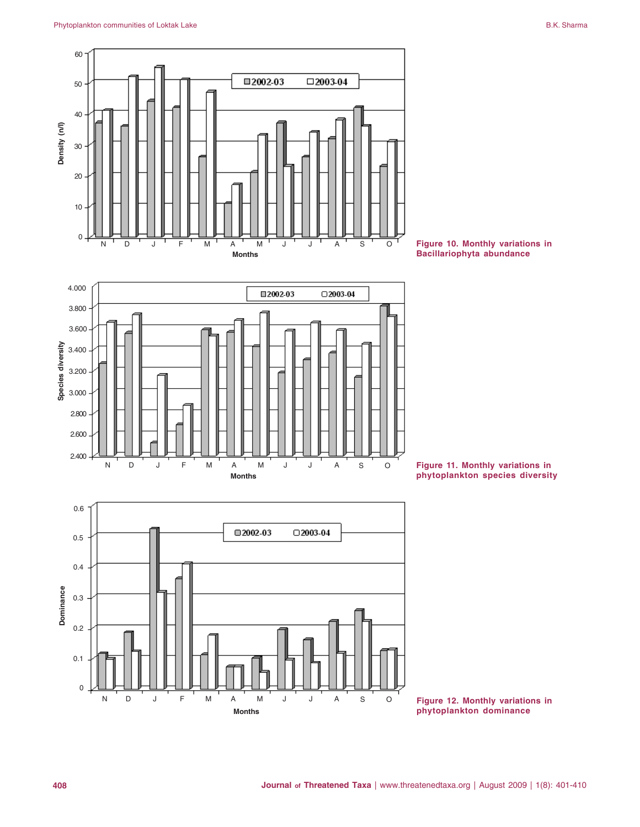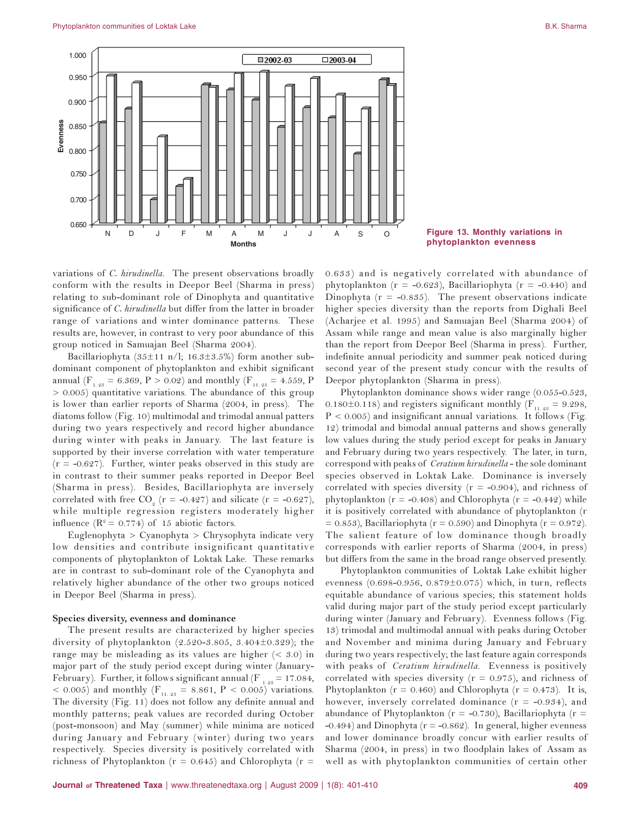

Figure 13. Monthly variations in phytoplankton evenness

variations of C. hirudinella. The present observations broadly conform with the results in Deepor Beel (Sharma in press) relating to sub-dominant role of Dinophyta and quantitative significance of C. hirudinella but differ from the latter in broader range of variations and winter dominance patterns. These results are, however, in contrast to very poor abundance of this group noticed in Samuajan Beel (Sharma 2004).

Bacillariophyta ( $35\pm11$  n/l;  $16.3\pm3.5\%$ ) form another subdominant component of phytoplankton and exhibit significant annual ( $F_{1,23} = 6.369$ , P > 0.02) and monthly ( $F_{11,23} = 4.559$ , P  $> 0.005$ ) quantitative variations. The abundance of this group is lower than earlier reports of Sharma (2004, in press). The diatoms follow (Fig. 10) multimodal and trimodal annual patters during two years respectively and record higher abundance during winter with peaks in January. The last feature is supported by their inverse correlation with water temperature  $(r = -0.627)$ . Further, winter peaks observed in this study are in contrast to their summer peaks reported in Deepor Beel (Sharma in press). Besides, Bacillariophyta are inversely correlated with free CO<sub>2</sub> ( $r = -0.427$ ) and silicate ( $r = -0.627$ ), while multiple regression registers moderately higher influence ( $R^2 = 0.774$ ) of 15 abiotic factors.

Euglenophyta > Cyanophyta > Chrysophyta indicate very low densities and contribute insignificant quantitative components of phytoplankton of Loktak Lake. These remarks are in contrast to sub-dominant role of the Cyanophyta and relatively higher abundance of the other two groups noticed in Deepor Beel (Sharma in press).

### Species diversity, evenness and dominance

The present results are characterized by higher species diversity of phytoplankton (2.520-3.805, 3.404 $\pm$ 0.329); the range may be misleading as its values are higher  $( $3.0$ )$  in major part of the study period except during winter (January-February). Further, it follows significant annual (F<sub>1.23</sub> = 17.084, < 0.005) and monthly ( $F_{11,23}$  = 8.861, P < 0.005) variations. The diversity (Fig. 11) does not follow any definite annual and monthly patterns; peak values are recorded during October (post-monsoon) and May (summer) while minima are noticed during January and February (winter) during two years respectively. Species diversity is positively correlated with richness of Phytoplankton ( $r = 0.645$ ) and Chlorophyta ( $r =$ 

0.633) and is negatively correlated with abundance of phytoplankton ( $r = -0.623$ ), Bacillariophyta ( $r = -0.440$ ) and Dinophyta ( $r = -0.835$ ). The present observations indicate higher species diversity than the reports from Dighali Beel (Acharjee et al. 1995) and Samuajan Beel (Sharma 2004) of Assam while range and mean value is also marginally higher than the report from Deepor Beel (Sharma in press). Further, indefinite annual periodicity and summer peak noticed during second year of the present study concur with the results of Deepor phytoplankton (Sharma in press).

Phytoplankton dominance shows wider range (0.055-0.523, 0.180 $\pm$ 0.118) and registers significant monthly ( $F_{11,98}$  = 9.298,  $P < 0.005$ ) and insignificant annual variations. It follows (Fig. 12) trimodal and bimodal annual patterns and shows generally low values during the study period except for peaks in January and February during two years respectively. The later, in turn, correspond with peaks of *Ceratium hirudinella* - the sole dominant species observed in Loktak Lake. Dominance is inversely correlated with species diversity ( $r = -0.904$ ), and richness of phytoplankton ( $r = -0.408$ ) and Chlorophyta ( $r = -0.442$ ) while it is positively correlated with abundance of phytoplankton (r  $= 0.853$ ), Bacillariophyta (r = 0.590) and Dinophyta (r = 0.972). The salient feature of low dominance though broadly corresponds with earlier reports of Sharma (2004, in press) but differs from the same in the broad range observed presently.

Phytoplankton communities of Loktak Lake exhibit higher evenness  $(0.698 - 0.956, 0.879 \pm 0.075)$  which, in turn, reflects equitable abundance of various species; this statement holds valid during major part of the study period except particularly during winter (January and February). Evenness follows (Fig. 13) trimodal and multimodal annual with peaks during October and November and minima during January and February during two years respectively; the last feature again corresponds with peaks of *Ceratium hirudinella*. Evenness is positively correlated with species diversity ( $r = 0.975$ ), and richness of Phytoplankton ( $r = 0.460$ ) and Chlorophyta ( $r = 0.473$ ). It is, however, inversely correlated dominance  $(r = -0.934)$ , and abundance of Phytoplankton ( $r = -0.730$ ), Bacillariophyta ( $r =$ -0.494) and Dinophyta ( $r = -0.862$ ). In general, higher evenness and lower dominance broadly concur with earlier results of Sharma (2004, in press) in two floodplain lakes of Assam as well as with phytoplankton communities of certain other